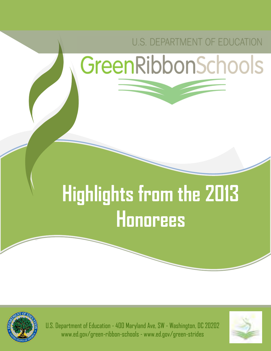## U.S. DEPARTMENT OF EDUCATION

# GreenRibbonSchools

# **Highlights from the 2013 Honorees**



U.S. Department of Education - 400 Maryland Ave, SW - Washington, DC 20202 www.ed.gov/green-ribbon-schools - www.ed.gov/green-strides

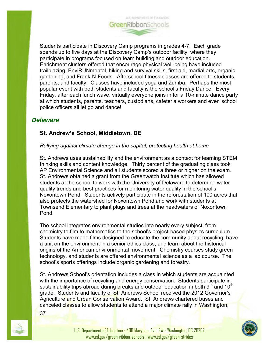

Students participate in Discovery Camp programs in grades 4-7. Each grade spends up to five days at the Discovery Camp's outdoor facility, where they participate in programs focused on team building and outdoor education. Enrichment clusters offered that encourage physical well-being have included trailblazing, EnviRUNmental, hiking and survival skills, first aid, martial arts, organic gardening, and Frank-N-Foods. Afterschool fitness classes are offered to students, parents, and faculty. Classes have included yoga and Zumba. Perhaps the most popular event with both students and faculty is the school's Friday Dance. Every Friday, after each lunch wave, virtually everyone joins in for a 10-minute dance party at which students, parents, teachers, custodians, cafeteria workers and even school police officers all let go and dance!

### *Delaware*

#### **St. Andrew's School, Middletown, DE**

#### *Rallying against climate change in the capital; protecting health at home*

St. Andrews uses sustainability and the environment as a context for learning STEM thinking skills and content knowledge. Thirty percent of the graduating class took AP Environmental Science and all students scored a three or higher on the exam. St. Andrews obtained a grant from the Greenwatch Institute which has allowed students at the school to work with the University of Delaware to determine water quality trends and best practices for monitoring water quality in the school's Noxontown Pond. Students actively participate in the reforestation of 100 acres that also protects the watershed for Noxontown Pond and work with students at Townsend Elementary to plant plugs and trees at the headwaters of Noxontown Pond.

The school integrates environmental studies into nearly every subject, from chemistry to film to mathematics to the school's project-based physics curriculum. Students have made films designed to educate the community about recycling, have a unit on the environment in a senior ethics class, and learn about the historical origins of the American environmental movement. Chemistry courses study green technology, and students are offered environmental science as a lab course. The school's sports offerings include organic gardening and forestry.

St. Andrews School's orientation includes a class in which students are acquainted with the importance of recycling and energy conservation. Students participate in sustainability trips abroad during breaks and outdoor education in both  $9<sup>th</sup>$  and  $10<sup>th</sup>$ grade. Students and faculty of St. Andrews School received the 2012 Governor's Agriculture and Urban Conservation Award. St. Andrews chartered buses and canceled classes to allow students to attend a major climate rally in Washington,